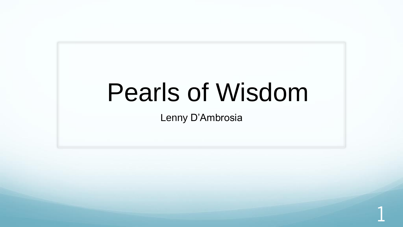1

Lenny D'Ambrosia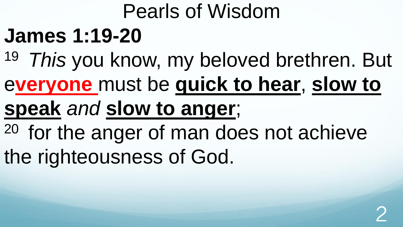## **James 1:19-20**

- <sup>19</sup>*This* you know, my beloved brethren. But
- e**veryone** must be **quick to hear**, **slow to**
- **speak** *and* **slow to anger**;
- <sup>20</sup> for the anger of man does not achieve the righteousness of God.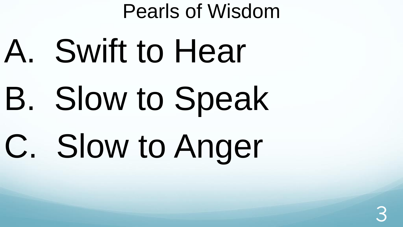A. Swift to Hear B. Slow to Speak C. Slow to Anger

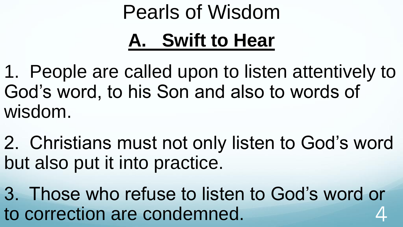## **A. Swift to Hear**

1. People are called upon to listen attentively to God's word, to his Son and also to words of wisdom.

2. Christians must not only listen to God's word but also put it into practice.

3. Those who refuse to listen to God's word or to correction are condemned. 4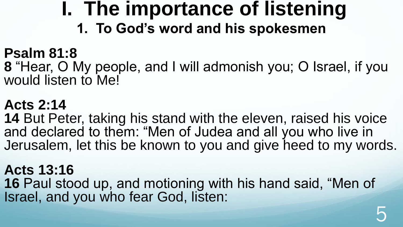### **I. The importance of listening 1. To God's word and his spokesmen**

#### **Psalm 81:8**

**8** "Hear, O My people, and I will admonish you; O Israel, if you would listen to Me!

#### **Acts 2:14**

**14** But Peter, taking his stand with the eleven, raised his voice and declared to them: "Men of Judea and all you who live in Jerusalem, let this be known to you and give heed to my words.

#### **Acts 13:16**

**16** Paul stood up, and motioning with his hand said, "Men of Israel, and you who fear God, listen: 5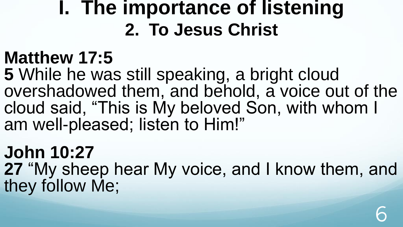## **I. The importance of listening 2. To Jesus Christ**

### **Matthew 17:5**

**5** While he was still speaking, a bright cloud overshadowed them, and behold, a voice out of the cloud said, "This is My beloved Son, with whom I am well-pleased; listen to Him!"

### **John 10:27**

**27** "My sheep hear My voice, and I know them, and they follow Me;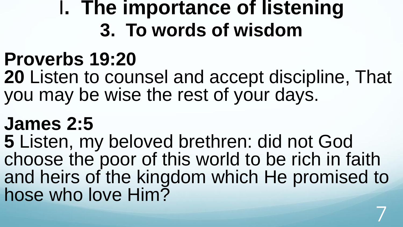## I**. The importance of listening 3. To words of wisdom**

## **Proverbs 19:20**

**20** Listen to counsel and accept discipline, That you may be wise the rest of your days.

## **James 2:5**

**5** Listen, my beloved brethren: did not God choose the poor of this world to be rich in faith and heirs of the kingdom which He promised to hose who love Him?

7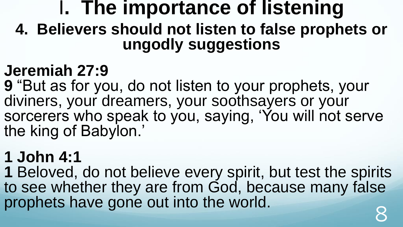**4. Believers should not listen to false prophets or ungodly suggestions**

### **Jeremiah 27:9**

**9** "But as for you, do not listen to your prophets, your diviners, your dreamers, your soothsayers or your sorcerers who speak to you, saying, 'You will not serve the king of Babylon.'

### **1 John 4:1**

**1** Beloved, do not believe every spirit, but test the spirits to see whether they are from God, because many false prophets have gone out into the world.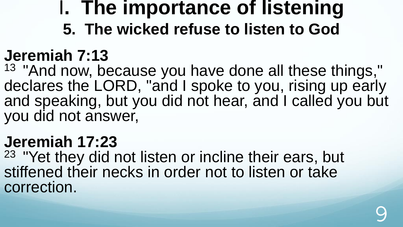**5. The wicked refuse to listen to God** 

### **Jeremiah 7:13**

<sup>13</sup> "And now, because you have done all these things," declares the LORD, "and I spoke to you, rising up early and speaking, but you did not hear, and I called you but you did not answer,

#### **Jeremiah 17:23**

<sup>23</sup> "Yet they did not listen or incline their ears, but stiffened their necks in order not to listen or take correction.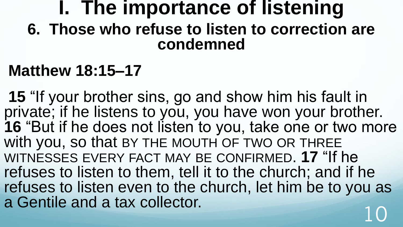### **I. The importance of listening 6. Those who refuse to listen to correction are condemned**

#### **Matthew 18:15–17**

**15** "If your brother sins, go and show him his fault in private; if he listens to you, you have won your brother. **16** "But if he does not listen to you, take one or two more with you, so that BY THE MOUTH OF TWO OR THREE WITNESSES EVERY FACT MAY BE CONFIRMED. **17** "If he refuses to listen to them, tell it to the church; and if he refuses to listen even to the church, let him be to you as a Gentile and a tax collector.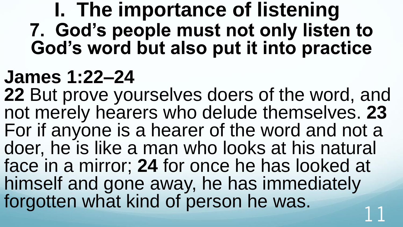## **I. The importance of listening 7. God's people must not only listen to God's word but also put it into practice**

## **James 1:22–24**

**22** But prove yourselves doers of the word, and not merely hearers who delude themselves. **23** For if anyone is a hearer of the word and not a doer, he is like a man who looks at his natural face in a mirror; **24** for once he has looked at himself and gone away, he has immediately forgotten what kind of person he was.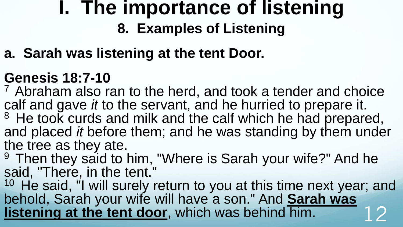### **I. The importance of listening 8. Examples of Listening**

#### **a. Sarah was listening at the tent Door.**

#### **Genesis 18:7-10**

<sup>7</sup>Abraham also ran to the herd, and took a tender and choice calf and gave *it* to the servant, and he hurried to prepare it. <sup>8</sup> He took curds and milk and the calf which he had prepared,

and placed *it* before them; and he was standing by them under the tree as they ate.

<sup>9</sup> Then they said to him, "Where is Sarah your wife?" And he said, "There, in the tent."

 $10$  He said, "I will surely return to you at this time next year; and behold, Sarah your wife will have a son." And **Sarah was listening at the tent door**, which was behind him.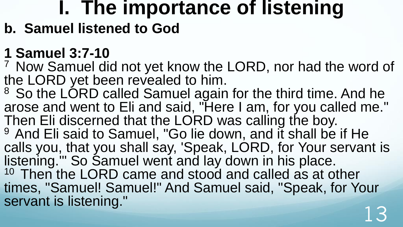#### **b. Samuel listened to God**

#### **1 Samuel 3:7-10**

<sup>7</sup> Now Samuel did not yet know the LORD, nor had the word of the LORD yet been revealed to him.

<sup>8</sup> So the LORD called Samuel again for the third time. And he arose and went to Eli and said, "Here I am, for you called me." Then Eli discerned that the LORD was calling the boy. <sup>9</sup> And Eli said to Samuel, "Go lie down, and it shall be if He calls you, that you shall say, 'Speak, LORD, for Your servant is listening.'" So Samuel went and lay down in his place. <sup>10</sup> Then the LORD came and stood and called as at other times, "Samuel! Samuel!" And Samuel said, "Speak, for Your servant is listening."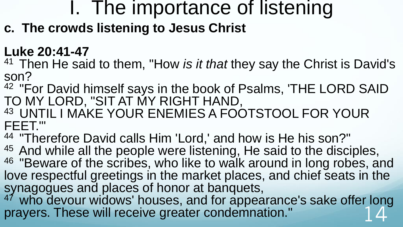**c. The crowds listening to Jesus Christ**

#### **Luke 20:41-47**

- <sup>41</sup>Then He said to them, "How *is it that* they say the Christ is David's son?
- <sup>42</sup> "For David himself says in the book of Psalms, 'THE LORD SAID TO MY LORD, "SIT AT MY RIGHT HAND,
- 43 UNTIL I MAKE YOUR ENEMIES A FOOTSTOOL FOR YOUR FEET."'
- 44 "Therefore David calls Him 'Lord,' and how is He his son?"
- $45$  And while all the people were listening, He said to the disciples, <sup>46</sup> "Beware of the scribes, who like to walk around in long robes, and love respectful greetings in the market places, and chief seats in the synagogues and places of honor at banquets,
- <sup>47</sup> who devour widows' houses, and for appearance's sake offer long prayers. These will receive greater condemnation."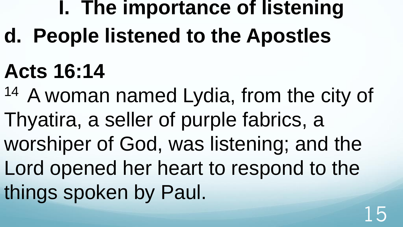**d. People listened to the Apostles**

# **Acts 16:14**

14 A woman named Lydia, from the city of Thyatira, a seller of purple fabrics, a worshiper of God, was listening; and the Lord opened her heart to respond to the things spoken by Paul.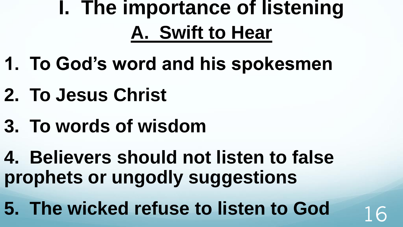## **I. The importance of listening A. Swift to Hear**

- **1. To God's word and his spokesmen**
- **2. To Jesus Christ**
- **3. To words of wisdom**
- **4. Believers should not listen to false prophets or ungodly suggestions**
- **5. The wicked refuse to listen to God** 16